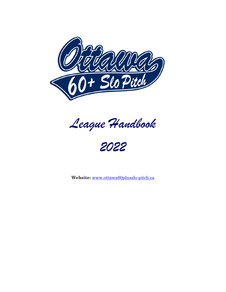

*League Handbook*

*2022*

**Website:** www.ottawa60plusslo-pitch.ca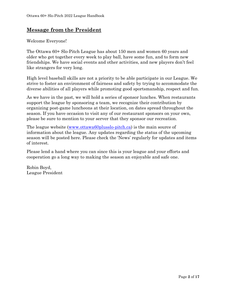# **Message from the President**

Welcome Everyone!

The Ottawa 60+ Slo-Pitch League has about 150 men and women 60 years and older who get together every week to play ball, have some fun, and to form new friendships. We have social events and other activities, and new players don't feel like strangers for very long.

High level baseball skills are not a priority to be able participate in our League. We strive to foster an environment of fairness and safety by trying to accommodate the diverse abilities of all players while promoting good sportsmanship, respect and fun.

As we have in the past, we will hold a series of sponsor lunches. When restaurants support the league by sponsoring a team, we recognize their contribution by organizing post-game luncheons at their location, on dates spread throughout the season. If you have occasion to visit any of our restaurant sponsors on your own, please be sure to mention to your server that they sponsor our recreation.

The league website (www.ottawa60plusslo-pitch.ca) is the main source of information about the league. Any updates regarding the status of the upcoming season will be posted here. Please check the 'News' regularly for updates and items of interest.

Please lend a hand where you can since this is your league and your efforts and cooperation go a long way to making the season an enjoyable and safe one.

Robin Boyd, League President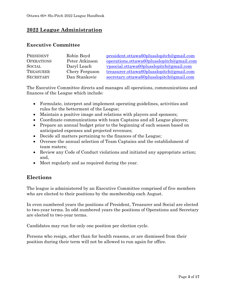# **2022 League Administration**

#### **Executive Committee**

| PRESIDENT         | Robin Boyd     | president.ottawa60plusslopitch@gmail.com  |
|-------------------|----------------|-------------------------------------------|
| <b>OPERATIONS</b> | Peter Atkinson | operations.ottawa60plusslopitch@gmail.com |
| <b>SOCIAL</b>     | Daryl Leach    | vpsocial.ottawa60plusslopitch@gmail.com   |
| TREASURER         | Chery Ferguson | treasurer.ottawa60plusslopitch@gmail.com  |
| <b>SECRETARY</b>  | Dan Stankovic  | secretary.ottawa60plusslopitch@gmail.com  |

The Executive Committee directs and manages all operations, communications and finances of the League which include:

- Formulate, interpret and implement operating guidelines, activities and rules for the betterment of the League;
- Maintain a positive image and relations with players and sponsors;
- Coordinate communications with team Captains and all League players;
- Prepare an annual budget prior to the beginning of each season based on anticipated expenses and projected revenues;
- Decide all matters pertaining to the finances of the League;
- Oversee the annual selection of Team Captains and the establishment of team rosters;
- Review any Code of Conduct violations and initiated any appropriate action; and,
- Meet regularly and as required during the year.

# **Elections**

The league is administered by an Executive Committee comprised of five members who are elected to their positions by the membership each August.

In even numbered years the positions of President, Treasurer and Social are elected to two-year terms. In odd numbered years the positions of Operations and Secretary are elected to two-year terms.

Candidates may run for only one position per election cycle.

Persons who resign, other than for health reasons, or are dismissed from their position during their term will not be allowed to run again for office.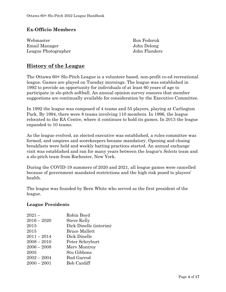### **Ex-Officio Members**

| Webmaster           | Ron Fedoruk   |
|---------------------|---------------|
| Email Manager       | John Delong   |
| League Photographer | John Flanders |

# **History of the League**

The Ottawa 60+ Slo-Pitch League is a volunteer based, non-profit co-ed recreational league. Games are played on Tuesday mornings. The league was established in 1992 to provide an opportunity for individuals of at least 60 years of age to participate in slo-pitch softball. An annual opinion survey ensures that member suggestions are continually available for consideration by the Executive Committee.

In 1992 the league was composed of 4 teams and 55 players, playing at Carlington Park. By 1994, there were 8 teams involving 110 members. In 1996, the league relocated to the RA Centre, where it continues to hold its games. In 2013 the league expanded to 10 teams.

As the league evolved, an elected executive was established, a rules committee was formed, and umpires and scorekeepers became mandatory. Opening and closing breakfasts were held and weekly batting practices started. An annual exchange visit was established and ran for many years between the league's *Selects* team and a slo-pitch team from Rochester, New York.

During the COVID-19 summers of 2020 and 2021, all league games were cancelled because of government mandated restrictions and the high risk posed to players' health.

The league was founded by Bern White who served as the first president of the league.

#### **League Presidents**

| $2021 -$      | Robin Boyd             |
|---------------|------------------------|
| $2016 - 2020$ | <b>Steve Kelly</b>     |
| 2015          | Dick Dinelle (interim) |
| 2015          | <b>Bruce Mallett</b>   |
| $2011 - 2014$ | Dick Dinelle           |
| $2008 - 2010$ | Peter Schryburt        |
| $2006 - 2008$ | Mery Montroy           |
| 2005          | Stu Gibbons            |
| $2002 - 2004$ | <b>Bud Garrod</b>      |
| $2000 - 2001$ | <b>Bob Cardiff</b>     |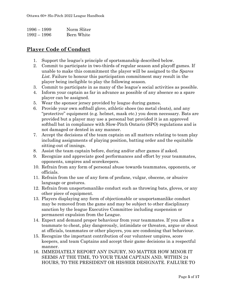| $1996 - 1999$ | Norm Sliter |
|---------------|-------------|
| $1992 - 1996$ | Bern White  |

# **Player Code of Conduct**

- 1. Support the league's principle of sportsmanship described below.
- 2. Commit to participate in two-thirds of regular season and playoff games. If unable to make this commitment the player will be assigned to the *Spares List*. Failure to honour this participation commitment may result in the player being ineligible to play the following season.
- 3. Commit to participate in as many of the league's social activities as possible.
- 4. Inform your captain as far in advance as possible of any absence so a spare player can be assigned.
- 5. Wear the sponsor jersey provided by league during games.
- 6. Provide your own softball glove, athletic shoes (no metal cleats), and any "protective" equipment (e.g. helmet, mask etc.) you deem necessary. Bats are provided but a player may use a personal bat provided it is an approved softball bat in compliance with Slow-Pitch Ontario (SPO) regulations and is not damaged or dented in any manner.
- 7. Accept the decisions of the team captain on all matters relating to team play including assignments of playing position, batting order and the equitable sitting-out of innings.
- 8. Assist the team captain before, during and/or after games if asked.
- 9. Recognize and appreciate good performances and effort by your teammates, opponents, umpires and scorekeepers.
- 10. Refrain from any form of personal abuse towards teammates, opponents, or officials.
- 11. Refrain from the use of any form of profane, vulgar, obscene, or abusive language or gestures.
- 12. Refrain from unsportsmanlike conduct such as throwing bats, gloves, or any other piece of equipment.
- 13. Players displaying any form of objectionable or unsportsmanlike conduct may be removed from the game and may be subject to other disciplinary sanction by the league Executive Committee including suspension or permanent expulsion from the League.
- 14. Expect and demand proper behaviour from your teammates. If you allow a teammate to cheat, play dangerously, intimidate or threaten, argue or shout at officials, teammates or other players, you are condoning that behaviour.
- 15. Recognize the important contribution of our volunteer umpires, score keepers, and team Captains and accept their game decisions in a respectful manner.
- 16. IMMEDIATELY REPORT ANY INJURY, NO MATTER HOW MINOR IT SEEMS AT THE TIME, TO YOUR TEAM CAPTAIN AND, WITHIN 24 HOURS, TO THE PRESIDENT OR HIS/HER DESIGNATE. FAILURE TO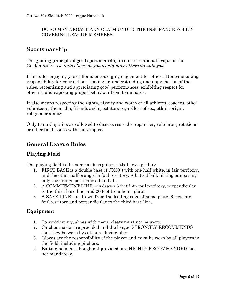#### DO SO MAY NEGATE ANY CLAIM UNDER THE INSURANCE POLICY COVERING LEAGUE MEMBERS.

# **Sportsmanship**

The guiding principle of good sportsmanship in our recreational league is the Golden Rule – *Do unto others as you would have others do unto you*.

It includes enjoying yourself and encouraging enjoyment for others. It means taking responsibility for your actions, having an understanding and appreciation of the rules, recognizing and appreciating good performances, exhibiting respect for officials, and expecting proper behaviour from teammates.

It also means respecting the rights, dignity and worth of all athletes, coaches, other volunteers, the media, friends and spectators regardless of sex, ethnic origin, religion or ability.

Only team Captains are allowed to discuss score discrepancies, rule interpretations or other field issues with the Umpire.

# **General League Rules**

## **Playing Field**

The playing field is the same as in regular softball, except that:

- 1. FIRST BASE is a double base (14"X30") with one half white, in fair territory, and the other half orange, in foul territory. A batted ball, hitting or crossing only the orange portion is a foul ball.
- 2. A COMMITMENT LINE is drawn 6 feet into foul territory, perpendicular to the third base line, and 20 feet from home plate.
- 3. A SAFE LINE is drawn from the leading edge of home plate, 6 feet into foul territory and perpendicular to the third base line.

#### **Equipment**

- 1. To avoid injury, shoes with metal cleats must not be worn.
- 2. Catcher masks are provided and the league STRONGLY RECOMMENDS that they be worn by catchers during play.
- 3. Gloves are the responsibility of the player and must be worn by all players in the field, including pitchers.
- 4. Batting helmets, though not provided, are HIGHLY RECOMMENDED but not mandatory.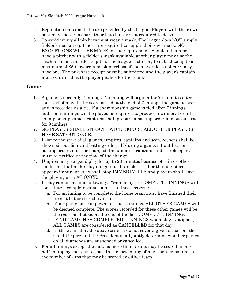- 5. Regulation bats and balls are provided by the league. Players with their own bats may choose to share their bats but are not required to do so.
- 6. To avoid injury all pitchers must wear a mask. The league does NOT supply fielder's masks so pitchers are required to supply their own mask. NO EXCEPTIONS WILL BE MADE to this requirement. Should a team not have a pitcher with a fielder's mask available another player may use the catcher's mask in order to pitch. The league is offering to subsidize up to a maximum of \$50 toward a mask purchase if the player does not currently have one. The purchase receipt must be submitted and the player's captain must confirm that the player pitches for the team.

#### **Game**

- 1. A game is normally 7 innings. No inning will begin after 75 minutes after the start of play. If the score is tied at the end of 7 innings the game is over and is recorded as a tie. If a championship game is tied after 7 innings, additional innings will be played as required to produce a winner. For all championship games, captains shall prepare a batting order and sit-out list for 9 innings.
- 2. NO PLAYER SHALL SIT OUT TWICE BEFORE ALL OTHER PLAYERS HAVE SAT OUT ONCE.
- 3. Prior to the start of all games, umpires, captains and scorekeepers shall be shown sit-out lists and batting orders. If during a game, sit-out lists or batting orders must be changed, the umpires, captains and scorekeepers must be notified at the time of the change.
- 4. Umpires may suspend play for up to 20 minutes because of rain or other conditions that make play dangerous. If an electrical or thunder storm appears imminent, play shall stop IMMEDIATELY and players shall leave the playing area AT ONCE.
- 5. If play cannot resume following a "rain delay", 4 COMPLETE INNINGS will constitute a complete game, subject to these criteria:
	- a. For an inning to be complete, the home team must have finished their turn at bat or scored five runs.
	- b. If one game has completed at least 4 innings ALL OTHER GAMES will be deemed complete. The scores recorded for these other games will be the score as it stood at the end of the last COMPLETE INNING.
	- c. IF NO GAME HAS COMPLETED 4 INNINGS when play is stopped, ALL GAMES are considered as CANCELLED for that day.
	- d. In the event that the above criteria do not cover a given situation, the Chief Umpire and the President shall jointly determine whether games on all diamonds are suspended or cancelled.
- 6. For all innings except the last, no more than 5 runs may be scored in one half-inning by the team at bat. In the last inning of play there is no limit to the number of runs that may be scored by either team.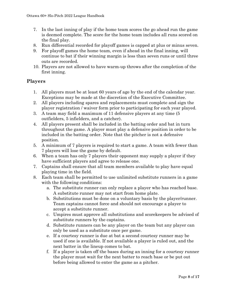- 7. In the last inning of play if the home team scores the go ahead run the game is deemed complete. The score for the home team includes all runs scored on the final play.
- 8. Run differential recorded for playoff games is capped at plus or minus seven.
- 9. For playoff games the home team, even if ahead in the final inning, will continue to bat if their winning margin is less than seven runs or until three outs are recorded.
- 10. Players are not allowed to have warm-up throws after the completion of the first inning.

#### **Players**

- 1. All players must be at least 60 years of age by the end of the calendar year. Exceptions may be made at the discretion of the Executive Committee.
- 2. All players including spares and replacements must complete and sign the player registration / waiver form prior to participating for each year played.
- 3. A team may field a maximum of 11 defensive players at any time (5 outfielders, 5 infielders, and a catcher).
- 4. All players present shall be included in the batting order and bat in turn throughout the game. A player must play a defensive position in order to be included in the batting order. Note that the pitcher is not a defensive position.
- 5. A minimum of 7 players is required to start a game. A team with fewer than 7 players will lose the game by default.
- 6. When a team has only 7 players their opponent may supply a player if they have sufficient players and agree to release one.
- 7. Captains shall ensure that all team members available to play have equal playing time in the field.
- 8. Each team shall be permitted to use unlimited substitute runners in a game with the following conditions:
	- a. The substitute runner can only replace a player who has reached base. A substitute runner may not start from home plate.
	- b. Substitutions must be done on a voluntary basis by the player/runner. Team captains cannot force and should not encourage a player to accept a substitute runner.
	- c. Umpires must approve all substitutions and scorekeepers be advised of substitute runners by the captains.
	- d. Substitute runners can be any player on the team but any player can only be used as a substitute once per game.
	- e. If a courtesy runner is due at bat a second courtesy runner may be used if one is available. If not available a player is ruled out, and the next batter in the lineup comes to bat.
	- f. If a player is taken off the bases during an inning for a courtesy runner the player must wait for the next batter to reach base or be put out before being allowed to enter the game as a pitcher.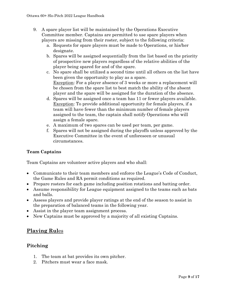- 9. A spare player list will be maintained by the Operations Executive Committee member. Captains are permitted to use spare players when players are missing from their roster, subject to the following criteria:
	- a. Requests for spare players must be made to Operations, or his/her designate.
	- b. Spares will be assigned sequentially from the list based on the priority of prospective new players regardless of the relative abilities of the player being spared for and of the spare.
	- c. No spare shall be utilized a second time until all others on the list have been given the opportunity to play as a spare. Exception: For a player absence of 3 weeks or more a replacement will be chosen from the spare list to best match the ability of the absent player and the spare will be assigned for the duration of the absence.
	- d. Spares will be assigned once a team has 11 or fewer players available. Exception: To provide additional opportunity for female players, if a team will have fewer than the minimum number of female players assigned to the team, the captain shall notify Operations who will assign a female spare.
	- e. A maximum of two spares can be used per team, per game.
	- f. Spares will not be assigned during the playoffs unless approved by the Executive Committee in the event of unforeseen or unusual circumstances.

## **Team Captains**

Team Captains are volunteer active players and who shall:

- Communicate to their team members and enforce the League's Code of Conduct, the Game Rules and RA permit conditions as required.
- Prepare rosters for each game including position rotations and batting order.
- Assume responsibility for League equipment assigned to the teams such as bats and balls.
- Assess players and provide player ratings at the end of the season to assist in the preparation of balanced teams in the following year.
- Assist in the player team assignment process.
- New Captains must be approved by a majority of all existing Captains.

# **Playing Rul**es

## **Pitching**

- 1. The team at bat provides its own pitcher.
- 2. Pitchers must wear a face mask.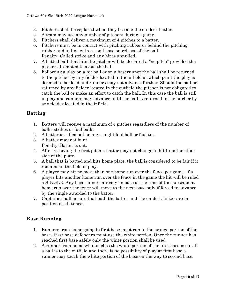- 3. Pitchers shall be replaced when they become the on-deck batter.
- 4. A team may use any number of pitchers during a game.
- 5. Pitchers shall deliver a maximum of 4 pitches to a batter.
- 6. Pitchers must be in contact with pitching rubber or behind the pitching rubber and in line with second base on release of the ball. Penalty: Called strike and any hit is annulled.
- 7. A batted ball that hits the pitcher will be declared a "no pitch" provided the pitcher attempted to avoid the ball.
- 8. Following a play on a hit ball or on a baserunner the ball shall be returned to the pitcher by any fielder located in the infield at which point the play is deemed to be dead and runners may not advance further. Should the ball be returned by any fielder located in the outfield the pitcher is not obligated to catch the ball or make an effort to catch the ball. In this case the ball is still in play and runners may advance until the ball is returned to the pitcher by any fielder located in the infield.

## **Batting**

- 1. Batters will receive a maximum of 4 pitches regardless of the number of balls, strikes or foul balls.
- 2. A batter is called out on any caught foul ball or foul tip.
- 3. A batter may not bunt. Penalty: Batter is out.
- 4. After receiving the first pitch a batter may not change to hit from the other side of the plate.
- 5. A ball that is batted and hits home plate, the ball is considered to be fair if it remains in the field of play.
- 6. A player may hit no more than one home run over the fence per game. If a player hits another home run over the fence in the game the hit will be ruled a SINGLE. Any baserunners already on base at the time of the subsequent home run over the fence will move to the next base only if forced to advance by the single awarded to the batter.
- 7. Captains shall ensure that both the batter and the on-deck hitter are in position at all times.

# **Base Running**

- 1. Runners from home going to first base must run to the orange portion of the base. First base defenders must use the white portion. Once the runner has reached first base safely only the white portion shall be used.
- 2. A runner from home who touches the white portion of the first base is out. If a ball is to the outfield and there is no possibility of play at first base a runner may touch the white portion of the base on the way to second base.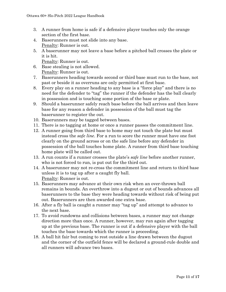- 3. A runner from home is safe if a defensive player touches only the orange section of the first base.
- 4. Baserunners must not slide into any base. Penalty: Runner is out.
- 5. A baserunner may not leave a base before a pitched ball crosses the plate or it is hit.

Penalty: Runner is out.

- 6. Base stealing is not allowed. Penalty: Runner is out.
- 7. Baserunners heading towards second or third base must run to the base, not past or beside it as overruns are only permitted at first base.
- 8. Every play on a runner heading to any base is a "force play" and there is no need for the defender to "tag" the runner if the defender has the ball clearly in possession and is touching some portion of the base or plate.
- 9. Should a baserunner safely reach base before the ball arrives and then leave base for any reason a defender in possession of the ball must tag the baserunner to register the out.
- 10. Baserunners may be tagged between bases.
- 11. There is no tagging at home or once a runner passes the commitment line.
- 12. A runner going from third base to home may not touch the plate but must instead cross the *safe line*. For a run to score the runner must have one foot clearly on the ground across or on the safe line before any defender in possession of the ball touches home plate. A runner from third base touching home plate will be called out.
- 13. A run counts if a runner crosses the plate's *safe line* before another runner, who is not forced to run, is put out for the third out.
- 14. A baserunner may not re-cross the commitment line and return to third base unless it is to tag up after a caught fly ball. Penalty: Runner is out.
- 15. Baserunners may advance at their own risk when an over-thrown ball remains in bounds. An overthrow into a dugout or out of bounds advances all baserunners to the base they were heading towards without risk of being put out. Baserunners are then awarded one extra base.
- 16. After a fly ball is caught a runner may "tag up" and attempt to advance to the next base.
- 17. To avoid rundowns and collisions between bases, a runner may not change direction more than once. A runner, however, may run again after tagging up at the previous base. The runner is out if a defensive player with the ball touches the base towards which the runner is proceeding.
- 18. A ball hit fair but coming to rest outside a line drawn between the dugout and the corner of the outfield fence will be declared a ground-rule double and all runners will advance two bases.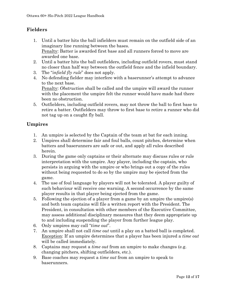# **Fielders**

- 1. Until a batter hits the ball infielders must remain on the outfield side of an imaginary line running between the bases. Penalty: Batter is awarded first base and all runners forced to move are awarded one base.
- 2. Until a batter hits the ball outfielders, including outfield rovers, must stand no closer than half way between the outfield fence and the infield boundary.
- 3. The "*infield fly rule*" does not apply.
- 4. No defending fielder may interfere with a baserunner's attempt to advance to the next base. Penalty: *Obstruction* shall be called and the umpire will award the runner with the placement the umpire felt the runner would have made had there been no obstruction.
- 5. Outfielders, including outfield rovers, may not throw the ball to first base to retire a batter. Outfielders may throw to first base to retire a runner who did not tag up on a caught fly ball.

## **Umpires**

- 1. An umpire is selected by the Captain of the team at bat for each inning.
- 2. Umpires shall determine fair and foul balls, count pitches, determine when batters and baserunners are safe or out, and apply all rules described herein.
- 3. During the game only captains or their alternate may discuss rules or rule interpretation with the umpire. Any player, including the captain, who persists in arguing with the umpire or who brings out a copy of the rules without being requested to do so by the umpire may be ejected from the game.
- 4. The use of foul language by players will not be tolerated. A player guilty of such behaviour will receive one warning. A second occurrence by the same player results in that player being ejected from the game.
- 5. Following the ejection of a player from a game by an umpire the umpire(s) and both team captains will file a written report with the President. The President, in consultation with other members of the Executive Committee, may assess additional disciplinary measures that they deem appropriate up to and including suspending the player from further league play.
- 6. Only umpires may call "*time out*".
- 7. An umpire shall not call *time out* until a play on a batted ball is completed. Exception: If an umpire determines that a player has been injured a *time out* will be called immediately.
- 8. Captains may request a *time out* from an umpire to make changes (e.g. changing pitchers, shifting outfielders, etc.).
- 9. Base coaches may request a *time out* from an umpire to speak to baserunners.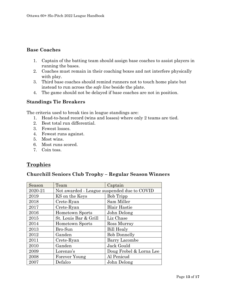#### **Base Coaches**

- 1. Captain of the batting team should assign base coaches to assist players in running the bases.
- 2. Coaches must remain in their coaching boxes and not interfere physically with play.
- 3. Third base coaches should remind runners not to touch home plate but instead to run across the *safe line* beside the plate.
- 4. The game should not be delayed if base coaches are not in position.

#### **Standings Tie Breakers**

The criteria used to break ties in league standings are:

- 1. Head-to-head record (wins and losses) where only 2 teams are tied.
- 2. Best total run differential.
- 3. Fewest losses.
- 4. Fewest runs against.
- 5. Most wins.
- 6. Most runs scored.
- 7. Coin toss.

# **Trophies**

#### **Churchill Seniors Club Trophy – Regular Season Winners**

| Season  | Team                                        | Captain                 |
|---------|---------------------------------------------|-------------------------|
| 2020-21 | Not awarded - League suspended due to COVID |                         |
| 2019    | KS on the Keys                              | <b>Bob Tripp</b>        |
| 2018    | Crete-Ryan                                  | Sam Miller              |
| 2017    | Crete-Ryan                                  | <b>Blair Hastie</b>     |
| 2016    | <b>Hometown Sports</b>                      | John Delong             |
| 2015    | St. Louis Bar & Grill                       | Liz Chase               |
| 2014    | Hometown Sports                             | Ross Murray             |
| 2013    | Bro-Sun                                     | <b>Bill Healy</b>       |
| 2012    | Ganden                                      | <b>Bob Donnelly</b>     |
| 2011    | Crete-Ryan                                  | <b>Barry Lacombe</b>    |
| 2010    | Ganden                                      | Jack Gould              |
| 2009    | Lorenzo's                                   | Doug Frobel & Lorna Lee |
| 2008    | Forever Young                               | Al Penicud              |
| 2007    | Defalco                                     | John Delong             |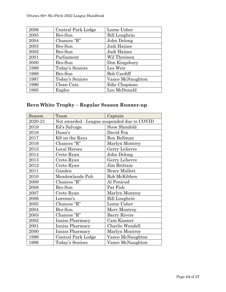| 2006 | Central Park Lodge | Lorne Usher          |
|------|--------------------|----------------------|
| 2005 | Bro-Sun            | <b>Bill Loughrin</b> |
| 2004 | Chances "R"        | John Delong          |
| 2003 | Bro-Sun            | Judi Haines          |
| 2002 | Bro-Sun            | Judi Haines          |
| 2001 | Parliament         | Wil Threinen         |
| 2000 | Bro-Sun            | Don Kingsbury        |
| 1999 | Today's Seniors    | Les Weir             |
| 1998 | Bro-Sun            | <b>Bob Cardiff</b>   |
| 1997 | Today's Seniors    | Vance McNaughton     |
| 1996 | Clean Cuts         | Edie Chapman         |
| 1995 | Eagles             | Leo McDonald         |

# **Bern White Trophy – Regular Season Runner-up**

| Season  | Team                                        | Captain              |
|---------|---------------------------------------------|----------------------|
| 2020-21 | Not awarded - League suspended due to COVID |                      |
| 2019    | Ed's Salvage                                | <b>Stew Shonfeld</b> |
| 2018    | Dunn's                                      | David Fox            |
| 2017    | KS on the Keys                              | Ron Bellman          |
| 2016    | Chances "R"                                 | Marlyn Montroy       |
| 2015    | Local Heroes                                | Gerry Lelievre       |
| 2014    | Crete-Ryan                                  | John Delong          |
| 2013    | Crete-Ryan                                  | Gerry Lelievre       |
| 2012    | Crete-Ryan                                  | Jim Brittain         |
| 2011    | Ganden                                      | <b>Bruce Mallett</b> |
| 2010    | Meadowlands Pub                             | Rob McKibbon         |
| 2009    | Chances "R"                                 | Al Penicud           |
| 2008    | Bro-Sun                                     | Pat Fish             |
| 2007    | Crete Ryan                                  | Marlyn Montroy       |
| 2006    | Lorenzo's                                   | <b>Bill Loughrin</b> |
| 2005    | Chances "R"                                 | Lorne Usher          |
| 2004    | Bro-Sun                                     | Merv Montroy         |
| 2003    | Chances "R"                                 | <b>Barry Rivers</b>  |
| 2002    | Inniss Pharmacy                             | Cam Kissner          |
| 2001    | Inniss Pharmacy                             | Charlie Wendell      |
| 2000    | Inniss Pharmacy                             | Marlyn Montroy       |
| 1999    | Central Park Lodge                          | Vance McNaughton     |
| 1998    | Today's Seniors                             | Vance McNaughton     |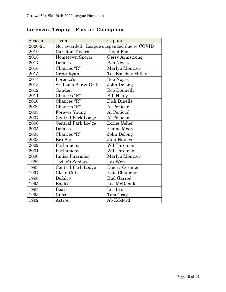| Season  | Team                                        | Captain              |
|---------|---------------------------------------------|----------------------|
| 2020-21 | Not awarded - League suspended due to COVID |                      |
| 2019    | Carleton Tavern                             | David Fox            |
| 2018    | <b>Hometown Sports</b>                      | Gerry Armstrong      |
| 2017    | Defalco                                     | <b>Bob Noyes</b>     |
| 2016    | Chances "R"                                 | Marlyn Montroy       |
| 2015    | Crete-Ryan                                  | Tes Boucher-Miller   |
| 2014    | Lorenzo's                                   | <b>Bob Noyes</b>     |
| 2013    | St. Louis Bar & Grill                       | John Delong          |
| 2012    | Ganden                                      | <b>Bob Donnelly</b>  |
| 2011    | Chances "R"                                 | <b>Bill Healy</b>    |
| 2010    | Chances "R"                                 | Dick Dinelle         |
| 2009    | Chances "R"                                 | Al Penicud           |
| 2008    | Forever Young                               | Al Penicud           |
| 2007    | <b>Central Park Lodge</b>                   | Al Penicud           |
| 2006    | Central Park Lodge                          | Lorne Usher          |
| 2005    | Defalco                                     | <b>Elaine Moore</b>  |
| 2004    | Chances "R"                                 | John Delong          |
| 2003    | Bro-Sun                                     | Judi Haines          |
| 2002    | Parliament                                  | Wil Threinen         |
| 2001    | Parliament                                  | Wil Threinen         |
| 2000    | Inniss Pharmacy                             | Marlyn Montroy       |
| 1999    | Today's Seniors                             | Les Weir             |
| 1998    | <b>Central Park Lodge</b>                   | <b>Emery Cormier</b> |
| 1997    | Clean Cuts                                  | Edie Chapman         |
| 1996    | Defalco                                     | <b>Bud Garrod</b>    |
| 1995    | Eagles                                      | Leo McDonald         |
| 1994    | <b>Bears</b>                                | Les Lye              |
| 1993    | Cubs                                        | Tom Gray             |
| 1992    | Astros                                      | Ab Eckford           |

# **Lorenzo's Trophy – Play-off Champions**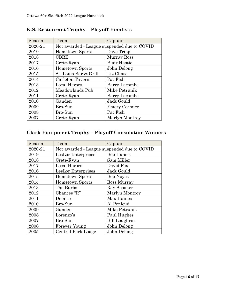| Season  | Team                                        | Captain              |
|---------|---------------------------------------------|----------------------|
| 2020-21 | Not awarded - League suspended due to COVID |                      |
| 2019    | <b>Hometown Sports</b>                      | Dave Tripp           |
| 2018    | <b>CBRE</b>                                 | Murray Ross          |
| 2017    | Crete-Ryan                                  | <b>Blair Hastie</b>  |
| 2016    | <b>Hometown Sports</b>                      | John Delong          |
| 2015    | St. Louis Bar & Grill                       | Liz Chase            |
| 2014    | Carleton Tavern                             | Pat Fish             |
| 2013    | Local Heroes                                | <b>Barry Lacombe</b> |
| 2012    | Meadowlands Pub                             | Mike Petrunik        |
| 2011    | Crete-Ryan                                  | Barry Lacombe        |
| 2010    | Ganden                                      | Jack Gould           |
| 2009    | Bro-Sun                                     | <b>Emery Cormier</b> |
| 2008    | Bro-Sun                                     | Pat Fish             |
| 2007    | Crete-Ryan                                  | Marlyn Montroy       |

# **K.S. Restaurant Trophy – Playoff Finalists**

# **Clark Equipment Trophy – Playoff Consolation Winners**

| Season  | Team                                        | Captain              |
|---------|---------------------------------------------|----------------------|
| 2020-21 | Not awarded - League suspended due to COVID |                      |
| 2019    | LesLor Enterprises                          | <b>Bob Hansis</b>    |
| 2018    | Crete-Ryan                                  | Sam Miller           |
| 2017    | <b>Local Heroes</b>                         | David Fox            |
| 2016    | LesLor Enterprises                          | Jack Gould           |
| 2015    | Hometown Sports                             | <b>Bob Noves</b>     |
| 2014    | <b>Hometown Sports</b>                      | Ross Murray          |
| 2013    | The Burbs                                   | Ray Spooner          |
| 2012    | Chances "R"                                 | Marlyn Montroy       |
| 2011    | Defalco                                     | Max Haines           |
| 2010    | Bro-Sun                                     | Al Penicud           |
| 2009    | Ganden                                      | Mike Petrunik        |
| 2008    | Lorenzo's                                   | Paul Hughes          |
| 2007    | Bro-Sun                                     | <b>Bill Loughrin</b> |
| 2006    | Forever Young                               | John Delong          |
| 2005    | Central Park Lodge                          | John Delong          |